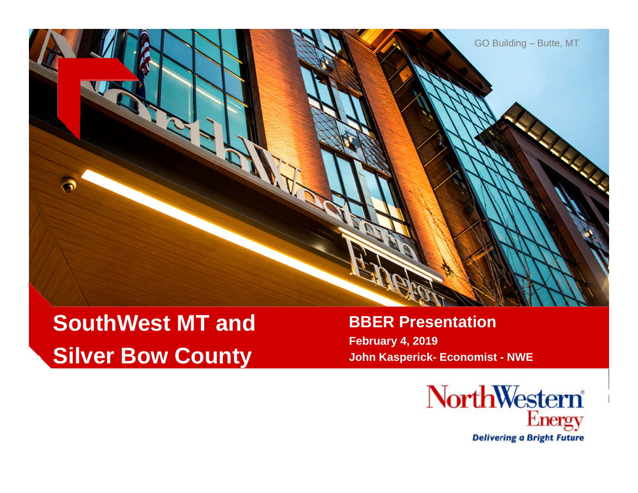

# **SouthWest MT andSilver Bow County**

#### **BBER Presentation February 4, 2019**

**John Kasperick- Economist - NWE**

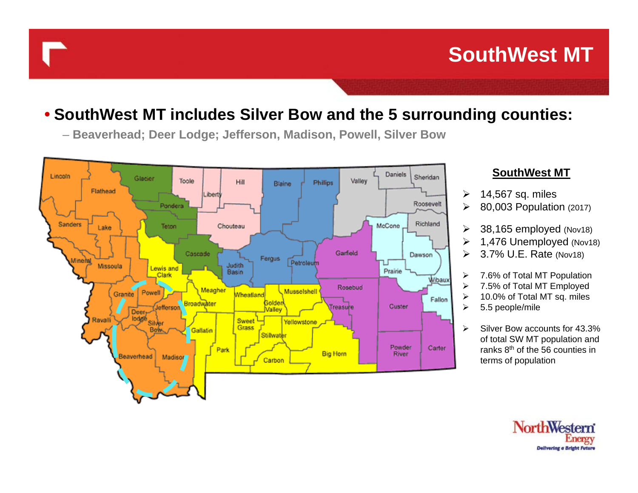# **SouthWest MT**

#### • **SouthWest MT includes Silver Bow and the 5 surrounding counties:**

– **Beaverhead; Deer Lodge; Jefferson, Madison, Powell, Silver Bow**



#### **SouthWest MT**

- $\blacktriangleright$ 14,567 sq. miles
- 80,003 Population (2017)
- $\blacktriangleright$  38,165 employed (Nov18)
	- 1,476 Unemployed (Nov18)
	- 3.7% U.E. Rate (Nov18)
- 7.6% of Total MT Population
- 7.5% of Total MT Employed
- 10.0% of Total MT sq. miles
	- 5.5 people/mile

 Silver Bow accounts for 43.3% of total SW MT population and ranks 8th of the 56 counties in terms of population

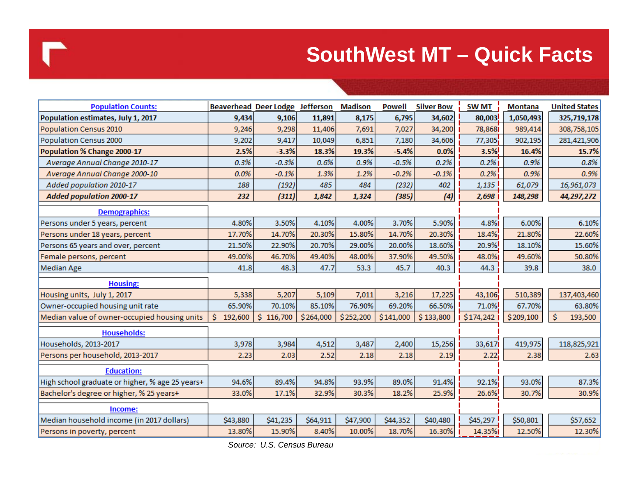## **SouthWest MT – Quick Facts**

| <b>Population Counts:</b>                       | <b>Beaverhead Deer Lodge</b> |               | <b>Jefferson</b> | <b>Madison</b> | <b>Powell</b> | <b>Silver Bow</b> | <b>SW MT</b> | <b>Montana</b> | <b>United States</b> |
|-------------------------------------------------|------------------------------|---------------|------------------|----------------|---------------|-------------------|--------------|----------------|----------------------|
| Population estimates, July 1, 2017              | 9,434                        | 9,106         | 11,891           | 8,175          | 6,795         | 34,602            | 80,003       | 1,050,493      | 325,719,178          |
| Population Census 2010                          | 9,246                        | 9,298         | 11,406           | 7,691          | 7,027         | 34,200            | 78,868       | 989,414        | 308,758,105          |
| Population Census 2000                          | 9,202                        | 9,417         | 10,049           | 6,851          | 7,180         | 34,606            | 77,305       | 902,195        | 281,421,906          |
| Population % Change 2000-17                     | 2.5%                         | $-3.3%$       | 18.3%            | 19.3%          | $-5.4%$       | 0.0%              | 3.5%         | 16.4%          | 15.7%                |
| Average Annual Change 2010-17                   | 0.3%                         | $-0.3%$       | 0.6%             | 0.9%           | $-0.5%$       | 0.2%              | 0.2%         | 0.9%           | 0.8%                 |
| Average Annual Change 2000-10                   | 0.0%                         | $-0.1%$       | 1.3%             | 1.2%           | $-0.2%$       | $-0.1%$           | 0.2%         | 0.9%           | 0.9%                 |
| Added population 2010-17                        | 188                          | (192)         | 485              | 484            | (232)         | 402               | 1,135        | 61,079         | 16,961,073           |
| <b>Added population 2000-17</b>                 | 232                          | (311)         | 1,842            | 1,324          | (385)         | (4)               | 2,698        | 148,298        | 44,297,272           |
| <b>Demographics:</b>                            |                              |               |                  |                |               |                   |              |                |                      |
| Persons under 5 years, percent                  | 4.80%                        | 3.50%         | 4.10%            | 4.00%          | 3.70%         | 5.90%             | 4.8%         | 6.00%          | 6.10%                |
| Persons under 18 years, percent                 | 17.70%                       | 14.70%        | 20.30%           | 15.80%         | 14.70%        | 20.30%            | 18.4%        | 21.80%         | 22.60%               |
| Persons 65 years and over, percent              | 21.50%                       | 22.90%        | 20.70%           | 29.00%         | 20.00%        | 18.60%            | 20.9%        | 18.10%         | 15.60%               |
| Female persons, percent                         | 49.00%                       | 46.70%        | 49.40%           | 48.00%         | 37.90%        | 49.50%            | 48.0%        | 49.60%         | 50.80%               |
| <b>Median Age</b>                               | 41.8                         | 48.3          | 47.7             | 53.3           | 45.7          | 40.3              | 44.3         | 39.8           | 38.0                 |
| <b>Housing:</b>                                 |                              |               |                  |                |               |                   |              |                |                      |
| Housing units, July 1, 2017                     | 5,338                        | 5,207         | 5,109            | 7,011          | 3,216         | 17,225            | 43,106       | 510,389        | 137,403,460          |
| Owner-occupied housing unit rate                | 65.90%                       | 70.10%        | 85.10%           | 76.90%         | 69.20%        | 66.50%            | 71.0%        | 67.70%         | 63.80%               |
| Median value of owner-occupied housing units    | \$<br>192,600                | \$<br>116,700 | \$264,000        | \$252,200      | \$141,000     | \$133,800         | \$174,242    | \$209,100      | Ś<br>193,500         |
| <b>Households:</b>                              |                              |               |                  |                |               |                   |              |                |                      |
| Households, 2013-2017                           | 3,978                        | 3,984         | 4,512            | 3,487          | 2,400         | 15,256            | 33,617       | 419,975        | 118,825,921          |
| Persons per household, 2013-2017                | 2.23                         | 2.03          | 2.52             | 2.18           | 2.18          | 2.19              | 2.22         | 2.38           | 2.63                 |
| <b>Education:</b>                               |                              |               |                  |                |               |                   |              |                |                      |
| High school graduate or higher, % age 25 years+ | 94.6%                        | 89.4%         | 94.8%            | 93.9%          | 89.0%         | 91.4%             | 92.1%        | 93.0%          | 87.3%                |
| Bachelor's degree or higher, % 25 years+        | 33.0%                        | 17.1%         | 32.9%            | 30.3%          | 18.2%         | 25.9%             | 26.6%        | 30.7%          | 30.9%                |
| Income:                                         |                              |               |                  |                |               |                   |              |                |                      |
| Median household income (in 2017 dollars)       | \$43,880                     | \$41,235      | \$64,911         | \$47,900       | \$44,352      | \$40,480          | \$45,297     | \$50,801       | \$57,652             |
| Persons in poverty, percent                     | 13.80%                       | 15.90%        | 8.40%            | 10.00%         | 18.70%        | 16.30%            | 14.35%       | 12.50%         | 12.30%               |

*Source: U.S. Census Bureau*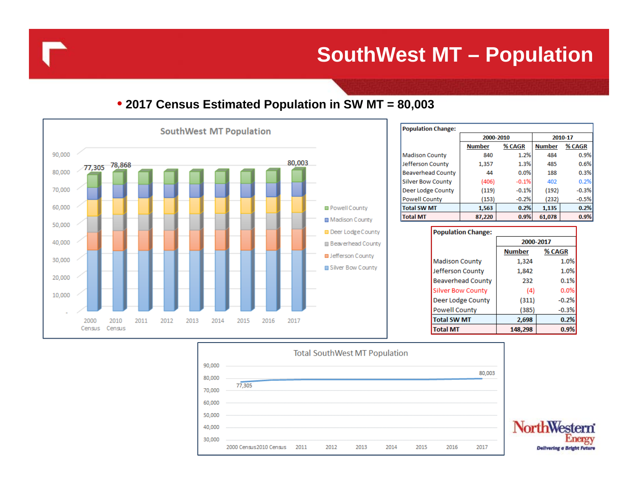**SouthWest MT – Population** 

#### • **2017 Census Estimated Population in SW MT = 80,003**



| <b>Population Change:</b> |               |         |               |         |  |  |  |  |  |
|---------------------------|---------------|---------|---------------|---------|--|--|--|--|--|
|                           | 2000-2010     |         | 2010-17       |         |  |  |  |  |  |
|                           | <b>Number</b> | % CAGR  | <b>Number</b> | % CAGR  |  |  |  |  |  |
| <b>Madison County</b>     | 840           | 1.2%    | 484           | 0.9%    |  |  |  |  |  |
| Jefferson County          | 1,357         | 1.3%    | 485           | 0.6%    |  |  |  |  |  |
| <b>Beaverhead County</b>  | 44            | 0.0%    | 188           | 0.3%    |  |  |  |  |  |
| <b>Silver Bow County</b>  | (406)         | $-0.1%$ | 402           | 0.2%    |  |  |  |  |  |
| Deer Lodge County         | (119)         | $-0.1%$ | (192)         | $-0.3%$ |  |  |  |  |  |
| <b>Powell County</b>      | (153)         | $-0.2%$ | (232)         | $-0.5%$ |  |  |  |  |  |
| <b>Total SW MT</b>        | 1,563         | 0.2%    | 1,135         | 0.2%    |  |  |  |  |  |
| <b>Total MT</b>           | 87,220        | 0.9%    | 61,078        | 0.9%    |  |  |  |  |  |

**Population Change:** 

|                          | 2000-2017 |         |  |  |  |
|--------------------------|-----------|---------|--|--|--|
|                          | Number    | % CAGR  |  |  |  |
| <b>Madison County</b>    | 1,324     | 1.0%    |  |  |  |
| Jefferson County         | 1,842     | 1.0%    |  |  |  |
| <b>Beaverhead County</b> | 232       | 0.1%    |  |  |  |
| <b>Silver Bow County</b> | (4)       | 0.0%    |  |  |  |
| Deer Lodge County        | (311)     | $-0.2%$ |  |  |  |
| <b>Powell County</b>     | (385)     | $-0.3%$ |  |  |  |
| <b>Total SW MT</b>       | 2,698     | 0.2%    |  |  |  |
| <b>Total MT</b>          | 148,298   | 0.9%    |  |  |  |



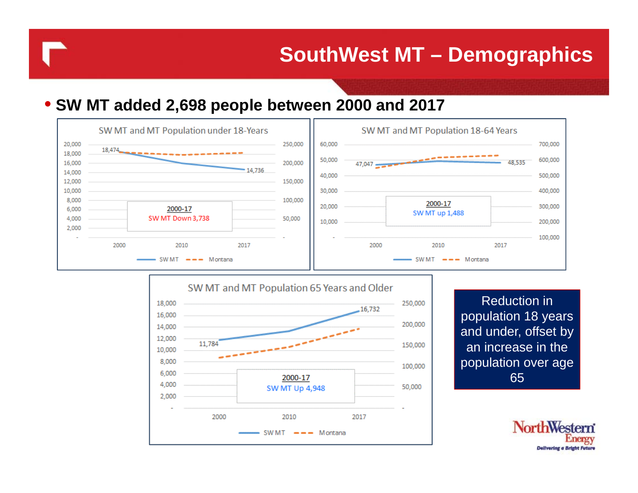100,000

50,000

2017

#### • **SW MT added 2,698 people between 2000 and 2017**

6,000

4,000

2,000

2000



2000-17

**SW MT Up 4,948** 

SW MT  $\rightarrow -$  Montana

2010

NorthW<sub>6</sub> **Delivering** a

65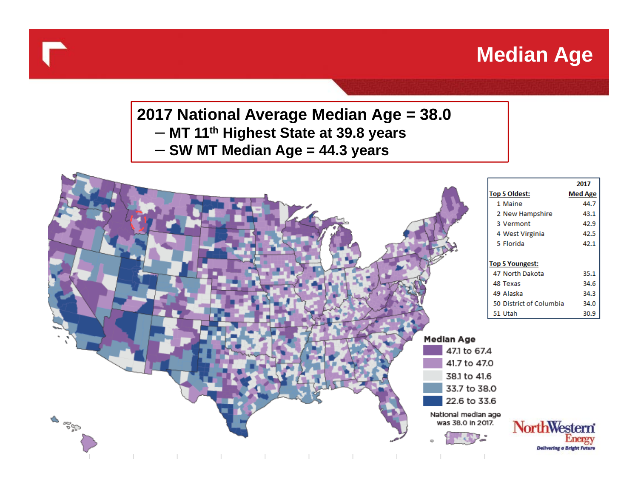# **Median Age**

**2017 National Average Median Age = 38.0** – **MT 11th Highest State at 39.8 years** – **SW MT Median Age = 44.3 years**

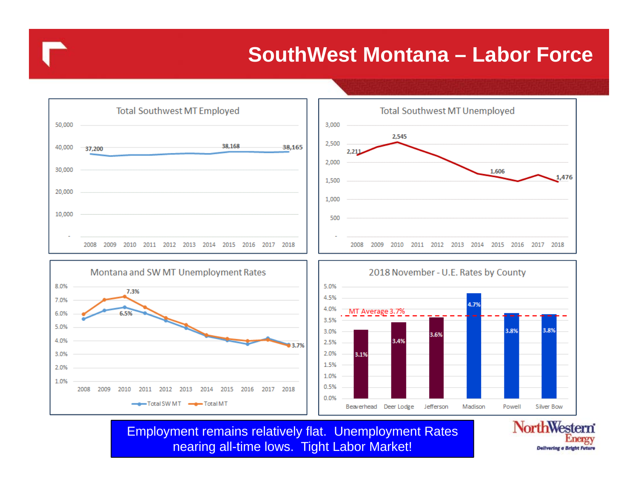### **SouthWest Montana – Labor Force**

**Delivering a Bright** 



Employment remains relatively flat. Unemployment Rates nearing all-time lows. Tight Labor Market!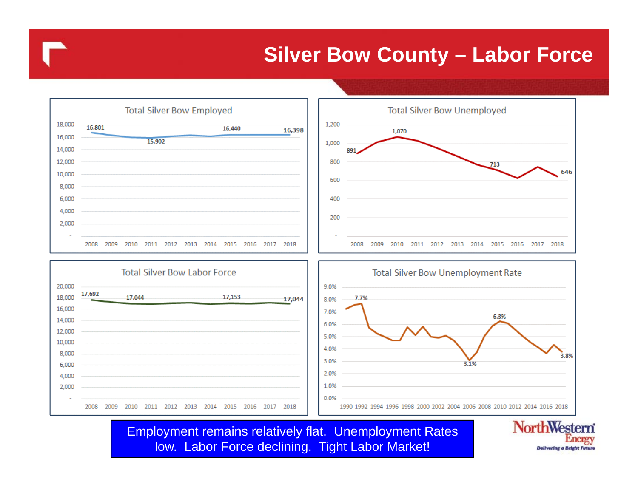### **Silver Bow County – Labor Force**



Employment remains relatively flat. Unemployment Rates low. Labor Force declining. Tight Labor Market!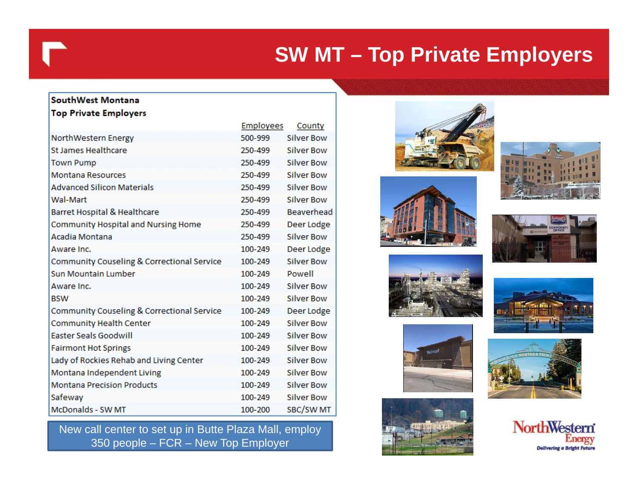# **SW MT – Top Private Employers**

#### SouthWest Montana **Top Private Employers**

|                                            | <b>Employees</b> | county            |
|--------------------------------------------|------------------|-------------------|
| NorthWestern Energy                        | 500-999          | <b>Silver Bow</b> |
| St James Healthcare                        | 250-499          | <b>Silver Bow</b> |
| <b>Town Pump</b>                           | 250-499          | <b>Silver Bow</b> |
| <b>Montana Resources</b>                   | 250-499          | <b>Silver Bow</b> |
| <b>Advanced Silicon Materials</b>          | 250-499          | <b>Silver Bow</b> |
| Wal-Mart                                   | 250-499          | <b>Silver Bow</b> |
| Barret Hospital & Healthcare               | 250-499          | Beaverhead        |
| <b>Community Hospital and Nursing Home</b> | 250-499          | Deer Lodge        |
| Acadia Montana                             | 250-499          | <b>Silver Bow</b> |
| Aware Inc.                                 | 100-249          | Deer Lodge        |
| Community Couseling & Correctional Service | 100-249          | <b>Silver Bow</b> |
| <b>Sun Mountain Lumber</b>                 | 100-249          | Powell            |
| Aware Inc.                                 | 100-249          | <b>Silver Bow</b> |
| <b>BSW</b>                                 | 100-249          | <b>Silver Bow</b> |
| Community Couseling & Correctional Service | 100-249          | Deer Lodge        |
| <b>Community Health Center</b>             | 100-249          | <b>Silver Bow</b> |
| <b>Easter Seals Goodwill</b>               | 100-249          | <b>Silver Bow</b> |
| <b>Fairmont Hot Springs</b>                | 100-249          | <b>Silver Bow</b> |
| Lady of Rockies Rehab and Living Center    | 100-249          | <b>Silver Bow</b> |
| Montana Independent Living                 | 100-249          | <b>Silver Bow</b> |
| <b>Montana Precision Products</b>          | 100-249          | <b>Silver Bow</b> |
| Safeway                                    | 100-249          | <b>Silver Bow</b> |
| McDonalds - SW MT                          | 100-200          | SBC/SW MT         |

د د د د د د

New call center to set up in Butte Plaza Mall, employ 350 people – FCR – New Top Employer



















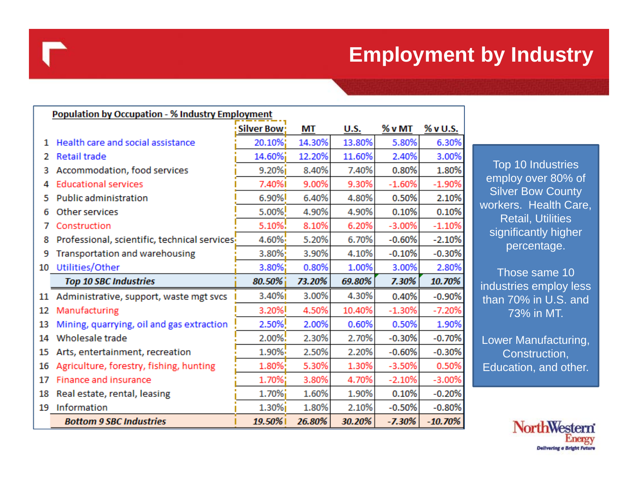# **Employment by Industry**

|    | <b>Population by Occupation - % Industry Employment</b> |                    |        |        |          |           |
|----|---------------------------------------------------------|--------------------|--------|--------|----------|-----------|
|    |                                                         | <b>Silver Bow:</b> | МT     | U.S.   | % v MT   | % v U.S.  |
| 1. | Health care and social assistance                       | 20.10%;            | 14.30% | 13.80% | 5.80%    | 6.309     |
| 2  | <b>Retail trade</b>                                     | 14.60%;            | 12.20% | 11.60% | 2.40%    | 3.009     |
| 3  | Accommodation, food services                            | 9.20%              | 8.40%  | 7.40%  | 0.80%    | 1.809     |
|    | <b>Educational services</b>                             | 7.40%I             | 9.00%  | 9.30%  | $-1.60%$ | $-1.909$  |
| 5  | Public administration                                   | 6.90%              | 6.40%  | 4.80%  | 0.50%    | 2.109     |
| 6  | Other services                                          | 5.00%              | 4.90%  | 4.90%  | 0.10%    | 0.109     |
| 7  | Construction                                            | 5.10%!             | 8.10%  | 6.20%  | $-3.00%$ | $-1.109$  |
| 8  | Professional, scientific, technical services!           | 4.60%              | 5.20%  | 6.70%  | $-0.60%$ | $-2.109$  |
| 9  | Transportation and warehousing                          | $3.80\%$           | 3.90%  | 4.10%  | $-0.10%$ | $-0.309$  |
| 10 | Utilities/Other                                         | 3.80%;             | 0.80%  | 1.00%  | 3.00%    | 2.809     |
|    | <b>Top 10 SBC Industries</b>                            | $80.50\%$          | 73.20% | 69.80% | 7.30%    | 10.70%    |
| 11 | Administrative, support, waste mgt svcs                 | 3.40%              | 3.00%  | 4.30%  | 0.40%    | $-0.90%$  |
| 12 | Manufacturing                                           | 3.20%              | 4.50%  | 10.40% | $-1.30%$ | $-7.209$  |
| 13 | Mining, quarrying, oil and gas extraction               | 2.50%!             | 2.00%  | 0.60%  | 0.50%    | 1.909     |
| 14 | Wholesale trade                                         | 2.00%!             | 2.30%  | 2.70%  | $-0.30%$ | $-0.709$  |
| 15 | Arts, entertainment, recreation                         | 1.90%              | 2.50%  | 2.20%  | $-0.60%$ | $-0.309$  |
| 16 | Agriculture, forestry, fishing, hunting                 | 1.80%              | 5.30%  | 1.30%  | $-3.50%$ | 0.509     |
| 17 | Finance and insurance                                   | 1.70%;             | 3.80%  | 4.70%  | $-2.10%$ | $-3.009$  |
| 18 | Real estate, rental, leasing                            | 1.70%;             | 1.60%  | 1.90%  | 0.10%    | $-0.209$  |
| 19 | Information                                             | $1.30\%$           | 1.80%  | 2.10%  | $-0.50%$ | $-0.80%$  |
|    | <b>Bottom 9 SBC Industries</b>                          | 19.50%             | 26.80% | 30.20% | $-7.30%$ | $-10.70%$ |

Top 10 Industries employ over 80% of Silver Bow County workers. Health Care, Retail, Utilities significantly higher percentage.

Those same 10 industries employ less than 70% in U.S. and 73% in MT.

Lower Manufacturing, Construction, Education, and other.

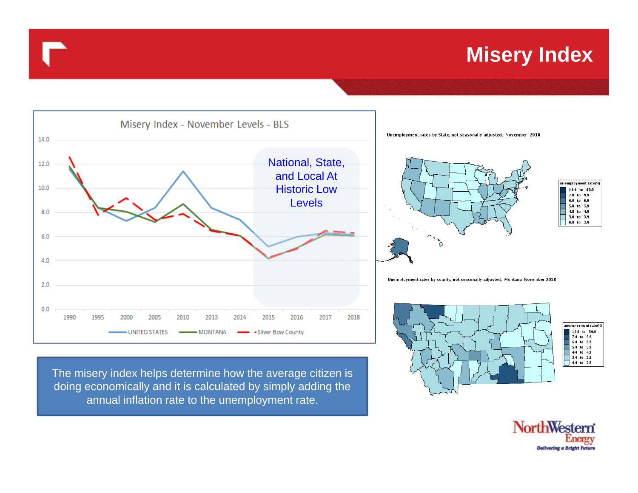### **Misery Index**



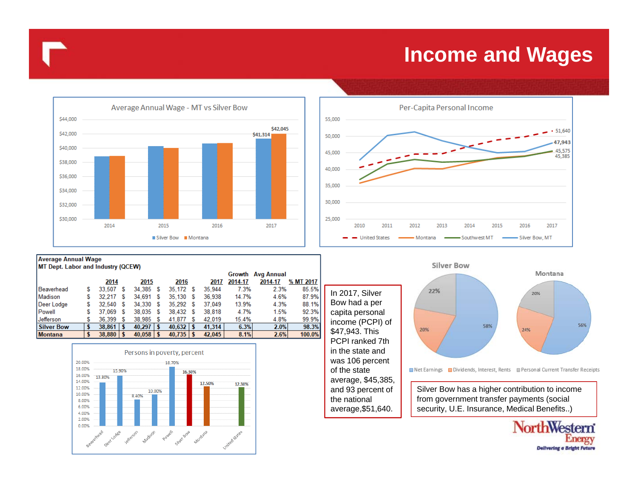#### **Income and Wages**



| <b>Average Annual Wage</b>         |   |               |   |               |     |               |   |        |                             |         |           |  |  |
|------------------------------------|---|---------------|---|---------------|-----|---------------|---|--------|-----------------------------|---------|-----------|--|--|
| MT Dept. Labor and Industry (QCEW) |   |               |   |               |     |               |   |        |                             |         |           |  |  |
|                                    |   |               |   |               |     |               |   |        | <b>Avg Annual</b><br>Growth |         |           |  |  |
|                                    |   | 2014          |   | 2015          |     | 2016          |   | 2017   | 2014-17                     | 2014-17 | % MT 2017 |  |  |
| Beaverhead                         | S | 33.507        | s | 34.385        | s   | 35.172 \$     |   | 35.944 | 7.3%                        | 2.3%    | 85.5%     |  |  |
| Madison                            | S | 32.217        | S | 34.691        | S   | $35.130$ \$   |   | 36.938 | 14.7%                       | 4.6%    | 87.9%     |  |  |
| Deer Lodge                         | S | 32,540 \$     |   | 34.330        | S   | 35,292 \$     |   | 37.049 | 13.9%                       | 4.3%    | 88.1%     |  |  |
| Powell                             | S | 37.069        | s | 38.035        | s   | 38,432 \$     |   | 38.818 | 4.7%                        | 1.5%    | 92.3%     |  |  |
| Jefferson                          | S | 36,399        | S | 38.985        | S   | 41.877        | S | 42.019 | 15.4%                       | 4.8%    | 99.9%     |  |  |
| <b>Silver Bow</b>                  |   | $38.861$   \$ |   | 40.297        | l S | $40.632$   \$ |   | 41.314 | 6.3%                        | 2.0%    | 98.3%     |  |  |
| <b>Montana</b>                     |   | $38.880$   \$ |   | $40.058$   \$ |     | $40.735$   \$ |   | 42,045 | 8.1%                        | 2.6%    | 100.0%    |  |  |







average,\$51,640.

from government transfer payments (social security, U.E. Insurance, Medical Benefits..)